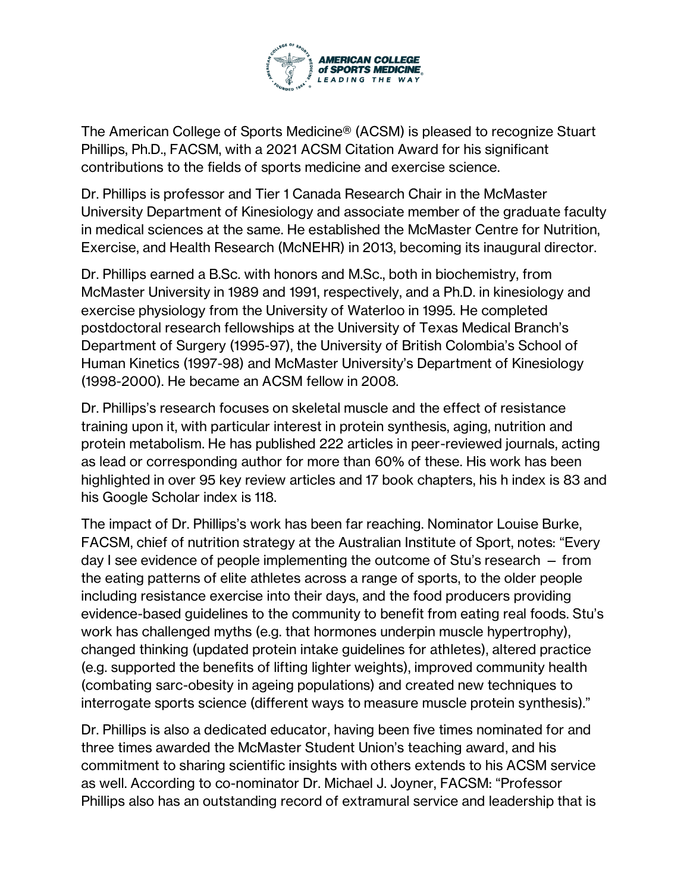

The American College of Sports Medicine® (ACSM) is pleased to recognize Stuart Phillips, Ph.D., FACSM, with a 2021 ACSM Citation Award for his significant contributions to the fields of sports medicine and exercise science.

Dr. Phillips is professor and Tier 1 Canada Research Chair in the McMaster University Department of Kinesiology and associate member of the graduate faculty in medical sciences at the same. He established the McMaster Centre for Nutrition, Exercise, and Health Research (McNEHR) in 2013, becoming its inaugural director.

Dr. Phillips earned a B.Sc. with honors and M.Sc., both in biochemistry, from McMaster University in 1989 and 1991, respectively, and a Ph.D. in kinesiology and exercise physiology from the University of Waterloo in 1995. He completed postdoctoral research fellowships at the University of Texas Medical Branch's Department of Surgery (1995-97), the University of British Colombia's School of Human Kinetics (1997-98) and McMaster University's Department of Kinesiology (1998-2000). He became an ACSM fellow in 2008.

Dr. Phillips's research focuses on skeletal muscle and the effect of resistance training upon it, with particular interest in protein synthesis, aging, nutrition and protein metabolism. He has published 222 articles in peer-reviewed journals, acting as lead or corresponding author for more than 60% of these. His work has been highlighted in over 95 key review articles and 17 book chapters, his h index is 83 and his Google Scholar index is 118.

The impact of Dr. Phillips's work has been far reaching. Nominator Louise Burke, FACSM, chief of nutrition strategy at the Australian Institute of Sport, notes: "Every day I see evidence of people implementing the outcome of Stu's research — from the eating patterns of elite athletes across a range of sports, to the older people including resistance exercise into their days, and the food producers providing evidence-based guidelines to the community to benefit from eating real foods. Stu's work has challenged myths (e.g. that hormones underpin muscle hypertrophy), changed thinking (updated protein intake guidelines for athletes), altered practice (e.g. supported the benefits of lifting lighter weights), improved community health (combating sarc-obesity in ageing populations) and created new techniques to interrogate sports science (different ways to measure muscle protein synthesis)."

Dr. Phillips is also a dedicated educator, having been five times nominated for and three times awarded the McMaster Student Union's teaching award, and his commitment to sharing scientific insights with others extends to his ACSM service as well. According to co-nominator Dr. Michael J. Joyner, FACSM: "Professor Phillips also has an outstanding record of extramural service and leadership that is